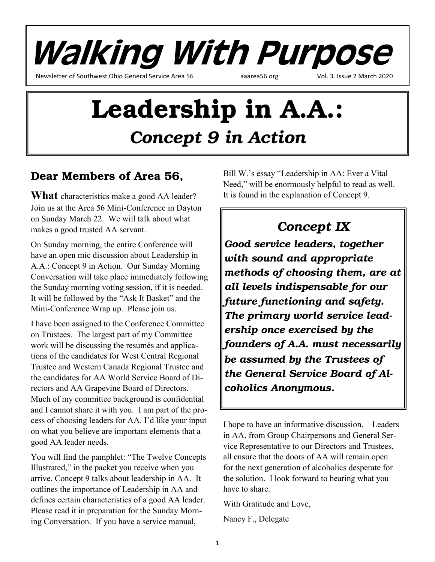

# Leadership in A.A.: *Concept 9 in Action*

### Dear Members of Area 56,

**What** characteristics make a good AA leader? Join us at the Area 56 Mini-Conference in Dayton on Sunday March 22. We will talk about what makes a good trusted AA servant.

On Sunday morning, the entire Conference will have an open mic discussion about Leadership in A.A.: Concept 9 in Action. Our Sunday Morning Conversation will take place immediately following the Sunday morning voting session, if it is needed. It will be followed by the "Ask It Basket" and the Mini-Conference Wrap up. Please join us.

I have been assigned to the Conference Committee on Trustees. The largest part of my Committee work will be discussing the resumés and applications of the candidates for West Central Regional Trustee and Western Canada Regional Trustee and the candidates for AA World Service Board of Directors and AA Grapevine Board of Directors. Much of my committee background is confidential and I cannot share it with you. I am part of the process of choosing leaders for AA. I'd like your input on what you believe are important elements that a good AA leader needs.

You will find the pamphlet: "The Twelve Concepts Illustrated," in the packet you receive when you arrive. Concept 9 talks about leadership in AA. It outlines the importance of Leadership in AA and defines certain characteristics of a good AA leader. Please read it in preparation for the Sunday Morning Conversation. If you have a service manual,

Bill W.'s essay "Leadership in AA: Ever a Vital Need," will be enormously helpful to read as well. It is found in the explanation of Concept 9.

### *Concept IX*

*Good service leaders, together with sound and appropriate methods of choosing them, are at all levels indispensable for our future functioning and safety. The primary world service leadership once exercised by the founders of A.A. must necessarily be assumed by the Trustees of the General Service Board of Alcoholics Anonymous.*

I hope to have an informative discussion. Leaders in AA, from Group Chairpersons and General Service Representative to our Directors and Trustees, all ensure that the doors of AA will remain open for the next generation of alcoholics desperate for the solution. I look forward to hearing what you have to share.

With Gratitude and Love,

Nancy F., Delegate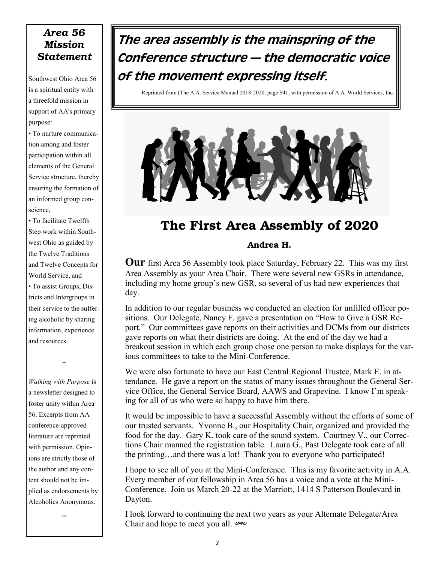#### *Area 56 Mission Statement*

Southwest Ohio Area 56 is a spiritual entity with a threefold mission in support of AA's primary purpose:

• To nurture communication among and foster participation within all elements of the General Service structure, thereby ensuring the formation of an informed group conscience,

• To facilitate Twelfth Step work within Southwest Ohio as guided by the Twelve Traditions and Twelve Concepts for World Service, and

• To assist Groups, Districts and Intergroups in their service to the suffering alcoholic by sharing information, experience and resources.

w

*Walking with Purpose* is a newsletter designed to foster unity within Area 56. Excerpts from AA conference-approved literature are reprinted with permission. Opinions are strictly those of the author and any content should not be implied as endorsements by Alcoholics Anonymous.

w

### The area assembly is the mainspring of the Conference structure — the democratic voice of the movement expressing itself.

Reprinted from (The A.A. Service Manual 2018-2020, page S41, with permission of A.A. World Services, Inc.



### The First Area Assembly of 2020

#### Andrea H.

**Our** first Area 56 Assembly took place Saturday, February 22. This was my first Area Assembly as your Area Chair. There were several new GSRs in attendance, including my home group's new GSR, so several of us had new experiences that day.

In addition to our regular business we conducted an election for unfilled officer positions. Our Delegate, Nancy F. gave a presentation on "How to Give a GSR Report." Our committees gave reports on their activities and DCMs from our districts gave reports on what their districts are doing. At the end of the day we had a breakout session in which each group chose one person to make displays for the various committees to take to the Mini-Conference.

We were also fortunate to have our East Central Regional Trustee, Mark E. in attendance. He gave a report on the status of many issues throughout the General Service Office, the General Service Board, AAWS and Grapevine. I know I'm speaking for all of us who were so happy to have him there.

It would be impossible to have a successful Assembly without the efforts of some of our trusted servants. Yvonne B., our Hospitality Chair, organized and provided the food for the day. Gary K. took care of the sound system. Courtney V., our Corrections Chair manned the registration table. Laura G., Past Delegate took care of all the printing…and there was a lot! Thank you to everyone who participated!

I hope to see all of you at the Mini-Conference. This is my favorite activity in A.A. Every member of our fellowship in Area 56 has a voice and a vote at the Mini-Conference. Join us March 20-22 at the Marriott, 1414 S Patterson Boulevard in Dayton.

I look forward to continuing the next two years as your Alternate Delegate/Area Chair and hope to meet you all. www.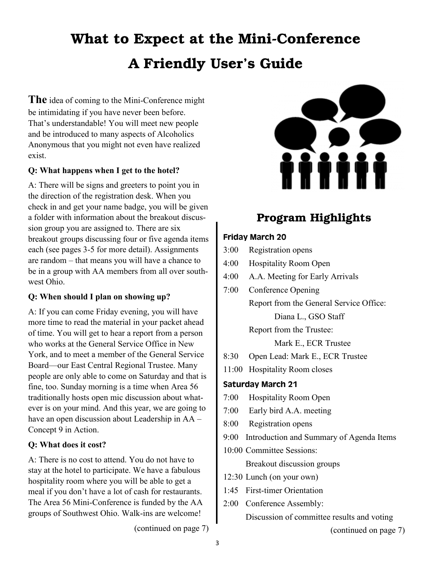## What to Expect at the Mini-Conference A Friendly User's Guide

**The** idea of coming to the Mini-Conference might be intimidating if you have never been before. That's understandable! You will meet new people and be introduced to many aspects of Alcoholics Anonymous that you might not even have realized exist.

#### **Q: What happens when I get to the hotel?**

A: There will be signs and greeters to point you in the direction of the registration desk. When you check in and get your name badge, you will be given a folder with information about the breakout discussion group you are assigned to. There are six breakout groups discussing four or five agenda items each (see pages 3-5 for more detail). Assignments are random – that means you will have a chance to be in a group with AA members from all over southwest Ohio.

#### **Q: When should I plan on showing up?**

A: If you can come Friday evening, you will have more time to read the material in your packet ahead of time. You will get to hear a report from a person who works at the General Service Office in New York, and to meet a member of the General Service Board—our East Central Regional Trustee. Many people are only able to come on Saturday and that is fine, too. Sunday morning is a time when Area 56 traditionally hosts open mic discussion about whatever is on your mind. And this year, we are going to have an open discussion about Leadership in AA – Concept 9 in Action.

#### **Q: What does it cost?**

A: There is no cost to attend. You do not have to stay at the hotel to participate. We have a fabulous hospitality room where you will be able to get a meal if you don't have a lot of cash for restaurants. The Area 56 Mini-Conference is funded by the AA groups of Southwest Ohio. Walk-ins are welcome!



### Program Highlights

#### Friday March 20

- 3:00 Registration opens
- 4:00 Hospitality Room Open
- 4:00 A.A. Meeting for Early Arrivals
- 7:00 Conference Opening Report from the General Service Office: Diana L., GSO Staff Report from the Trustee:

Mark E., ECR Trustee

- 8:30 Open Lead: Mark E., ECR Trustee
- 11:00 Hospitality Room closes

#### Saturday March 21

- 7:00 Hospitality Room Open
- 7:00 Early bird A.A. meeting
- 8:00 Registration opens
- 9:00 Introduction and Summary of Agenda Items
- 10:00 Committee Sessions: Breakout discussion groups
- 12:30 Lunch (on your own)
- 1:45 First-timer Orientation
- 2:00 Conference Assembly:

Discussion of committee results and voting

(continued on page 7)

(continued on page 7)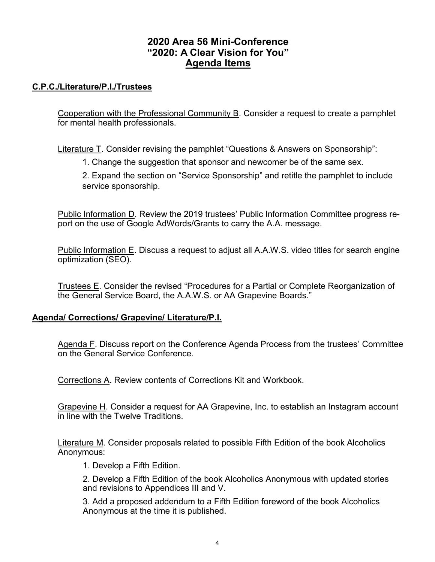#### **2020 Area 56 Mini-Conference "2020: A Clear Vision for You" Agenda Items**

#### **C.P.C./Literature/P.I./Trustees**

Cooperation with the Professional Community B. Consider a request to create a pamphlet for mental health professionals.

Literature T. Consider revising the pamphlet "Questions & Answers on Sponsorship":

1. Change the suggestion that sponsor and newcomer be of the same sex.

2. Expand the section on "Service Sponsorship" and retitle the pamphlet to include service sponsorship.

Public Information D. Review the 2019 trustees' Public Information Committee progress report on the use of Google AdWords/Grants to carry the A.A. message.

Public Information E. Discuss a request to adjust all A.A.W.S. video titles for search engine optimization (SEO).

Trustees E. Consider the revised "Procedures for a Partial or Complete Reorganization of the General Service Board, the A.A.W.S. or AA Grapevine Boards."

#### **Agenda/ Corrections/ Grapevine/ Literature/P.I.**

Agenda F. Discuss report on the Conference Agenda Process from the trustees' Committee on the General Service Conference.

Corrections A. Review contents of Corrections Kit and Workbook.

Grapevine H. Consider a request for AA Grapevine, Inc. to establish an Instagram account in line with the Twelve Traditions.

Literature M. Consider proposals related to possible Fifth Edition of the book Alcoholics Anonymous:

1. Develop a Fifth Edition.

2. Develop a Fifth Edition of the book Alcoholics Anonymous with updated stories and revisions to Appendices III and V.

3. Add a proposed addendum to a Fifth Edition foreword of the book Alcoholics Anonymous at the time it is published.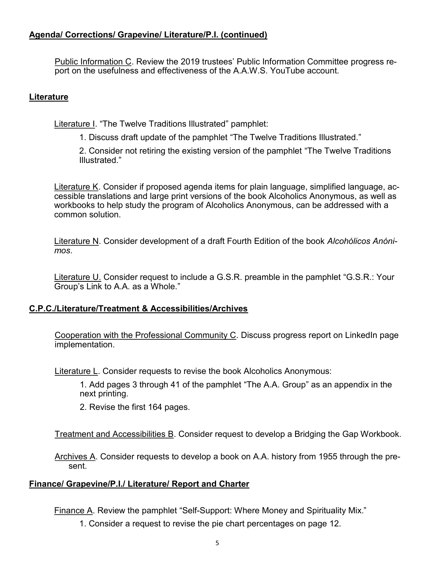#### **Agenda/ Corrections/ Grapevine/ Literature/P.I. (continued)**

Public Information C. Review the 2019 trustees' Public Information Committee progress report on the usefulness and effectiveness of the A.A.W.S. YouTube account.

#### **Literature**

Literature I. "The Twelve Traditions Illustrated" pamphlet:

1. Discuss draft update of the pamphlet "The Twelve Traditions Illustrated."

2. Consider not retiring the existing version of the pamphlet "The Twelve Traditions Illustrated."

Literature K. Consider if proposed agenda items for plain language, simplified language, accessible translations and large print versions of the book Alcoholics Anonymous, as well as workbooks to help study the program of Alcoholics Anonymous, can be addressed with a common solution.

Literature N. Consider development of a draft Fourth Edition of the book *Alcohólicos Anónimos*.

Literature U. Consider request to include a G.S.R. preamble in the pamphlet "G.S.R.: Your Group's Link to A.A. as a Whole."

#### **C.P.C./Literature/Treatment & Accessibilities/Archives**

Cooperation with the Professional Community C. Discuss progress report on LinkedIn page implementation.

Literature L. Consider requests to revise the book Alcoholics Anonymous:

1. Add pages 3 through 41 of the pamphlet "The A.A. Group" as an appendix in the next printing.

2. Revise the first 164 pages.

Treatment and Accessibilities B. Consider request to develop a Bridging the Gap Workbook.

Archives A. Consider requests to develop a book on A.A. history from 1955 through the present.

#### **Finance/ Grapevine/P.I./ Literature/ Report and Charter**

Finance A. Review the pamphlet "Self-Support: Where Money and Spirituality Mix."

1. Consider a request to revise the pie chart percentages on page 12.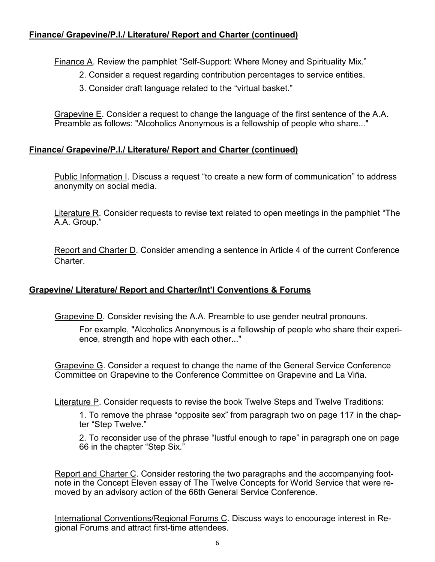#### **Finance/ Grapevine/P.I./ Literature/ Report and Charter (continued)**

Finance A. Review the pamphlet "Self-Support: Where Money and Spirituality Mix."

- 2. Consider a request regarding contribution percentages to service entities.
- 3. Consider draft language related to the "virtual basket."

Grapevine E. Consider a request to change the language of the first sentence of the A.A. Preamble as follows: "Alcoholics Anonymous is a fellowship of people who share..."

#### **Finance/ Grapevine/P.I./ Literature/ Report and Charter (continued)**

Public Information I. Discuss a request "to create a new form of communication" to address anonymity on social media.

Literature R. Consider requests to revise text related to open meetings in the pamphlet "The A.A. Group."

Report and Charter D. Consider amending a sentence in Article 4 of the current Conference **Charter** 

#### **Grapevine/ Literature/ Report and Charter/Int'l Conventions & Forums**

Grapevine D. Consider revising the A.A. Preamble to use gender neutral pronouns.

For example, "Alcoholics Anonymous is a fellowship of people who share their experience, strength and hope with each other..."

Grapevine G. Consider a request to change the name of the General Service Conference Committee on Grapevine to the Conference Committee on Grapevine and La Viña.

Literature P. Consider requests to revise the book Twelve Steps and Twelve Traditions:

1. To remove the phrase "opposite sex" from paragraph two on page 117 in the chapter "Step Twelve."

2. To reconsider use of the phrase "lustful enough to rape" in paragraph one on page 66 in the chapter "Step Six."

Report and Charter C. Consider restoring the two paragraphs and the accompanying footnote in the Concept Eleven essay of The Twelve Concepts for World Service that were removed by an advisory action of the 66th General Service Conference.

International Conventions/Regional Forums C. Discuss ways to encourage interest in Regional Forums and attract first-time attendees.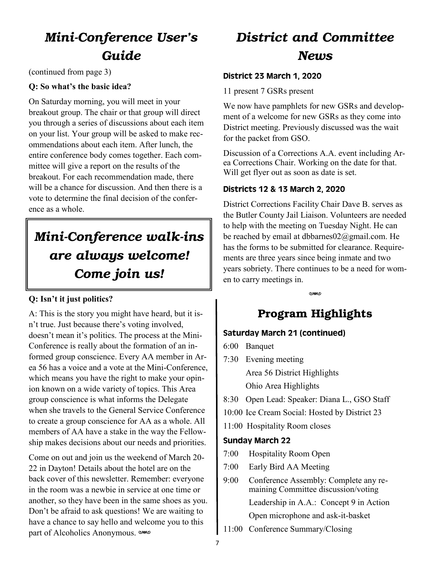### *Mini-Conference User's Guide*

(continued from page 3)

#### **Q: So what's the basic idea?**

On Saturday morning, you will meet in your breakout group. The chair or that group will direct you through a series of discussions about each item on your list. Your group will be asked to make recommendations about each item. After lunch, the entire conference body comes together. Each committee will give a report on the results of the breakout. For each recommendation made, there will be a chance for discussion. And then there is a vote to determine the final decision of the conference as a whole.

### *Mini-Conference walk-ins are always welcome! Come join us!*

#### **Q: Isn't it just politics?**

A: This is the story you might have heard, but it isn't true. Just because there's voting involved, doesn't mean it's politics. The process at the Mini-Conference is really about the formation of an informed group conscience. Every AA member in Area 56 has a voice and a vote at the Mini-Conference, which means you have the right to make your opinion known on a wide variety of topics. This Area group conscience is what informs the Delegate when she travels to the General Service Conference to create a group conscience for AA as a whole. All members of AA have a stake in the way the Fellowship makes decisions about our needs and priorities.

Come on out and join us the weekend of March 20- 22 in Dayton! Details about the hotel are on the back cover of this newsletter. Remember: everyone in the room was a newbie in service at one time or another, so they have been in the same shoes as you. Don't be afraid to ask questions! We are waiting to have a chance to say hello and welcome you to this part of Alcoholics Anonymous. www

### *District and Committee News*

#### District 23 March 1, 2020

11 present 7 GSRs present

We now have pamphlets for new GSRs and development of a welcome for new GSRs as they come into District meeting. Previously discussed was the wait for the packet from GSO.

Discussion of a Corrections A.A. event including Area Corrections Chair. Working on the date for that. Will get flyer out as soon as date is set.

#### Districts 12 & 13 March 2, 2020

District Corrections Facility Chair Dave B. serves as the Butler County Jail Liaison. Volunteers are needed to help with the meeting on Tuesday Night. He can be reached by email at dbbarnes $02@g$ gmail.com. He has the forms to be submitted for clearance. Requirements are three years since being inmate and two years sobriety. There continues to be a need for women to carry meetings in.

**CAMA** 

### Program Highlights

#### Saturday March 21 (continued)

- 6:00 Banquet
- 7:30 Evening meeting Area 56 District Highlights Ohio Area Highlights
- 8:30 Open Lead: Speaker: Diana L., GSO Staff
- 10:00 Ice Cream Social: Hosted by District 23
- 11:00 Hospitality Room closes

#### Sunday March 22

- 7:00 Hospitality Room Open
- 7:00 Early Bird AA Meeting
- 9:00 Conference Assembly: Complete any remaining Committee discussion/voting

Leadership in A.A.: Concept 9 in Action

Open microphone and ask-it-basket

11:00 Conference Summary/Closing